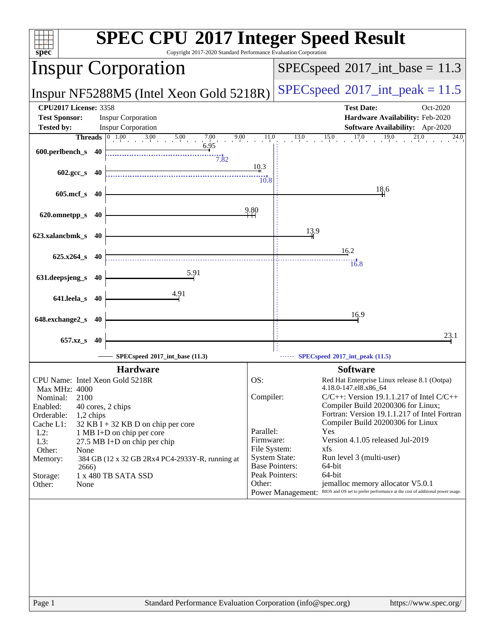| $spec*$<br>Copyright 2017-2020 Standard Performance Evaluation Corporation                                                        | <b>SPEC CPU®2017 Integer Speed Result</b>                                                                  |
|-----------------------------------------------------------------------------------------------------------------------------------|------------------------------------------------------------------------------------------------------------|
| <b>Inspur Corporation</b>                                                                                                         | $SPEC speed^{\circ}2017\_int\_base = 11.3$                                                                 |
| Inspur NF5288M5 (Intel Xeon Gold 5218R)                                                                                           | $SPEC speed^{\circ}2017\_int\_peak = 11.5$                                                                 |
| <b>CPU2017 License: 3358</b><br><b>Inspur Corporation</b><br><b>Test Sponsor:</b><br><b>Inspur Corporation</b>                    | <b>Test Date:</b><br>Oct-2020<br>Hardware Availability: Feb-2020<br><b>Software Availability:</b> Apr-2020 |
| <b>Tested by:</b><br>9.00                                                                                                         | 11.0<br>15.0<br>17.0<br>19.0<br>13.0<br>21.0<br>24.0                                                       |
| <b>Threads</b> $\begin{bmatrix} 0 & 1.00 & 3.00 & 5.00 & 7.00 \\ 0 & 0 & 6.95 & 6.95 \end{bmatrix}$<br>600.perlbench_s 40<br>7.82 |                                                                                                            |
| $602.\text{gcc}\,s$ 40                                                                                                            | 10.3<br>10.8                                                                                               |
| $605$ .mcf_s<br>- 40                                                                                                              | 18,6                                                                                                       |
| 620.omnetpp_s<br>40                                                                                                               | 9.80                                                                                                       |
| 623.xalancbmk_s 40                                                                                                                | 13.9                                                                                                       |
| $625.x264_s$ 40                                                                                                                   | 16.2                                                                                                       |
| 5.91<br>631.deepsjeng_s 40                                                                                                        | 16.8                                                                                                       |
| 4.91<br>641.leela_s 40                                                                                                            |                                                                                                            |
| 648.exchange2_s<br>40                                                                                                             | 16.9                                                                                                       |
| 657.xz_s<br>-40                                                                                                                   | 23.1                                                                                                       |
| SPECspeed®2017_int_base (11.3)                                                                                                    | SPECspeed <sup>®</sup> 2017_int_peak (11.5)                                                                |
| <b>Hardware</b>                                                                                                                   | <b>Software</b>                                                                                            |
| CPU Name: Intel Xeon Gold 5218R                                                                                                   | OS:<br>Red Hat Enterprise Linux release 8.1 (Ootpa)                                                        |
| <b>Max MHz: 4000</b>                                                                                                              | 4.18.0-147.el8.x86_64                                                                                      |
| 2100<br>Nominal:                                                                                                                  | Compiler:<br>$C/C++$ : Version 19.1.1.217 of Intel $C/C++$<br>Compiler Build 20200306 for Linux;           |
| Enabled:<br>40 cores, 2 chips<br>Orderable:<br>1,2 chips                                                                          | Fortran: Version 19.1.1.217 of Intel Fortran                                                               |
| Cache L1:<br>32 KB I + 32 KB D on chip per core                                                                                   | Compiler Build 20200306 for Linux                                                                          |
| $L2$ :<br>1 MB I+D on chip per core                                                                                               | Parallel:<br>Yes<br>Version 4.1.05 released Jul-2019<br>Firmware:                                          |
| L3:<br>27.5 MB I+D on chip per chip<br>Other:<br>None                                                                             | File System:<br>xfs                                                                                        |
| Memory:<br>384 GB (12 x 32 GB 2Rx4 PC4-2933Y-R, running at                                                                        | <b>System State:</b><br>Run level 3 (multi-user)                                                           |
| 2666)                                                                                                                             | <b>Base Pointers:</b><br>64-bit<br>Peak Pointers:<br>64-bit                                                |
| 1 x 480 TB SATA SSD<br>Storage:<br>Other:<br>None                                                                                 | Other:<br>jemalloc memory allocator V5.0.1                                                                 |
|                                                                                                                                   | BIOS and OS set to prefer performance at the cost of additional power usage.<br><b>Power Management:</b>   |
|                                                                                                                                   |                                                                                                            |
|                                                                                                                                   |                                                                                                            |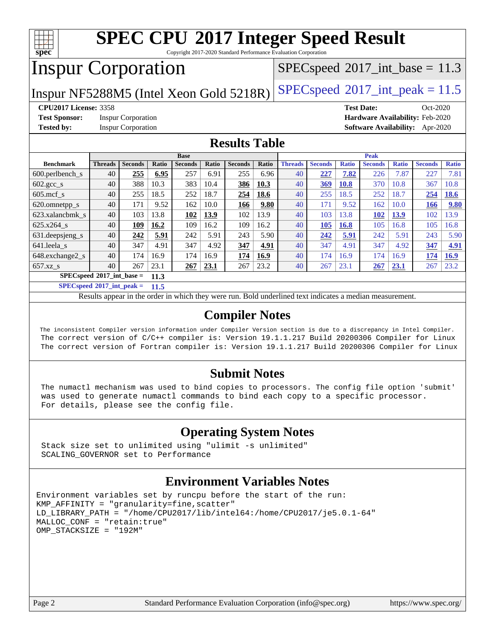

Copyright 2017-2020 Standard Performance Evaluation Corporation

# Inspur Corporation

 $SPECspeed^{\circledcirc}2017\_int\_base = 11.3$  $SPECspeed^{\circledcirc}2017\_int\_base = 11.3$ 

Inspur NF5288M5 (Intel Xeon Gold 5218R) [SPECspeed](http://www.spec.org/auto/cpu2017/Docs/result-fields.html#SPECspeed2017intpeak)<sup>®</sup>[2017\\_int\\_peak = 1](http://www.spec.org/auto/cpu2017/Docs/result-fields.html#SPECspeed2017intpeak)1.5

**[Test Sponsor:](http://www.spec.org/auto/cpu2017/Docs/result-fields.html#TestSponsor)** Inspur Corporation **[Hardware Availability:](http://www.spec.org/auto/cpu2017/Docs/result-fields.html#HardwareAvailability)** Feb-2020

**[CPU2017 License:](http://www.spec.org/auto/cpu2017/Docs/result-fields.html#CPU2017License)** 3358 **[Test Date:](http://www.spec.org/auto/cpu2017/Docs/result-fields.html#TestDate)** Oct-2020 **[Tested by:](http://www.spec.org/auto/cpu2017/Docs/result-fields.html#Testedby)** Inspur Corporation **[Software Availability:](http://www.spec.org/auto/cpu2017/Docs/result-fields.html#SoftwareAvailability)** Apr-2020

#### **[Results Table](http://www.spec.org/auto/cpu2017/Docs/result-fields.html#ResultsTable)**

| <b>Base</b>                                |                |                | <b>Peak</b> |                |       |                |       |                |                |              |                |              |                |              |
|--------------------------------------------|----------------|----------------|-------------|----------------|-------|----------------|-------|----------------|----------------|--------------|----------------|--------------|----------------|--------------|
| <b>Benchmark</b>                           | <b>Threads</b> | <b>Seconds</b> | Ratio       | <b>Seconds</b> | Ratio | <b>Seconds</b> | Ratio | <b>Threads</b> | <b>Seconds</b> | <b>Ratio</b> | <b>Seconds</b> | <b>Ratio</b> | <b>Seconds</b> | <b>Ratio</b> |
| $600.$ perlbench $\mathsf{S}$              | 40             | 255            | 6.95        | 257            | 6.91  | 255            | 6.96  | 40             | 227            | 7.82         | 226            | 7.87         | 227            | 7.81         |
| $602.\text{gcc}\_\text{s}$                 | 40             | 388            | 10.3        | 383            | 10.4  | 386            | 10.3  | 40             | 369            | <b>10.8</b>  | 370            | 10.8         | 367            | 10.8         |
| $605$ .mcf s                               | 40             | 255            | 18.5        | 252            | 18.7  | 254            | 18.6  | 40             | 255            | 18.5         | 252            | 18.7         | 254            | <b>18.6</b>  |
| 620.omnetpp_s                              | 40             | 171            | 9.52        | 162            | 10.0  | 166            | 9.80  | 40             | 171            | 9.52         | 162            | 10.0         | 166            | 9.80         |
| 623.xalancbmk s                            | 40             | 103            | 13.8        | 102            | 13.9  | 102            | 13.9  | 40             | 103            | 13.8         | 102            | 13.9         | 102            | 13.9         |
| 625.x264 s                                 | 40             | 109            | 16.2        | 109            | 16.2  | 109            | 16.2  | 40             | 105            | 16.8         | 105            | 16.8         | 105            | 16.8         |
| 631.deepsjeng_s                            | 40             | 242            | 5.91        | 242            | 5.91  | 243            | 5.90  | 40             | 242            | 5.91         | 242            | 5.91         | 243            | 5.90         |
| 641.leela s                                | 40             | 347            | 4.91        | 347            | 4.92  | 347            | 4.91  | 40             | 347            | 4.91         | 347            | 4.92         | 347            | 4.91         |
| 648.exchange2_s                            | 40             | 174            | 16.9        | 174            | 16.9  | 174            | 16.9  | 40             | 174            | 16.9         | 174            | 16.9         | 174            | 16.9         |
| $657.xz$ <sub>S</sub>                      | 40             | 267            | 23.1        | 267            | 23.1  | 267            | 23.2  | 40             | 267            | 23.1         | 267            | 23.1         | 267            | 23.2         |
| $SPECspeed^{\circ}2017$ int base =<br>11.3 |                |                |             |                |       |                |       |                |                |              |                |              |                |              |

**[SPECspeed](http://www.spec.org/auto/cpu2017/Docs/result-fields.html#SPECspeed2017intpeak)[2017\\_int\\_peak =](http://www.spec.org/auto/cpu2017/Docs/result-fields.html#SPECspeed2017intpeak) 11.5**

Results appear in the [order in which they were run.](http://www.spec.org/auto/cpu2017/Docs/result-fields.html#RunOrder) Bold underlined text [indicates a median measurement](http://www.spec.org/auto/cpu2017/Docs/result-fields.html#Median).

#### **[Compiler Notes](http://www.spec.org/auto/cpu2017/Docs/result-fields.html#CompilerNotes)**

 The inconsistent Compiler version information under Compiler Version section is due to a discrepancy in Intel Compiler. The correct version of C/C++ compiler is: Version 19.1.1.217 Build 20200306 Compiler for Linux The correct version of Fortran compiler is: Version 19.1.1.217 Build 20200306 Compiler for Linux

#### **[Submit Notes](http://www.spec.org/auto/cpu2017/Docs/result-fields.html#SubmitNotes)**

 The numactl mechanism was used to bind copies to processors. The config file option 'submit' was used to generate numactl commands to bind each copy to a specific processor. For details, please see the config file.

### **[Operating System Notes](http://www.spec.org/auto/cpu2017/Docs/result-fields.html#OperatingSystemNotes)**

 Stack size set to unlimited using "ulimit -s unlimited" SCALING\_GOVERNOR set to Performance

#### **[Environment Variables Notes](http://www.spec.org/auto/cpu2017/Docs/result-fields.html#EnvironmentVariablesNotes)**

```
Environment variables set by runcpu before the start of the run:
KMP_AFFINITY = "granularity=fine,scatter"
LD_LIBRARY_PATH = "/home/CPU2017/lib/intel64:/home/CPU2017/je5.0.1-64"
MALLOC_CONF = "retain:true"
OMP_STACKSIZE = "192M"
```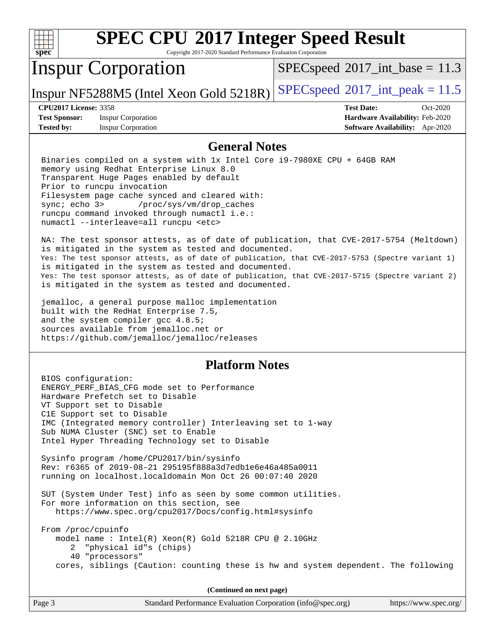| s<br>U<br>æ<br>Ľ |  |  |  |  |
|------------------|--|--|--|--|

Copyright 2017-2020 Standard Performance Evaluation Corporation

## Inspur Corporation

 $SPECspeed^{\circledcirc}2017\_int\_base = 11.3$  $SPECspeed^{\circledcirc}2017\_int\_base = 11.3$ 

Inspur NF5288M5 (Intel Xeon Gold 5218R) [SPECspeed](http://www.spec.org/auto/cpu2017/Docs/result-fields.html#SPECspeed2017intpeak)<sup>®</sup>[2017\\_int\\_peak = 1](http://www.spec.org/auto/cpu2017/Docs/result-fields.html#SPECspeed2017intpeak)1.5

**[Test Sponsor:](http://www.spec.org/auto/cpu2017/Docs/result-fields.html#TestSponsor)** Inspur Corporation **[Hardware Availability:](http://www.spec.org/auto/cpu2017/Docs/result-fields.html#HardwareAvailability)** Feb-2020 **[Tested by:](http://www.spec.org/auto/cpu2017/Docs/result-fields.html#Testedby)** Inspur Corporation **[Software Availability:](http://www.spec.org/auto/cpu2017/Docs/result-fields.html#SoftwareAvailability)** Apr-2020

**[CPU2017 License:](http://www.spec.org/auto/cpu2017/Docs/result-fields.html#CPU2017License)** 3358 **[Test Date:](http://www.spec.org/auto/cpu2017/Docs/result-fields.html#TestDate)** Oct-2020

#### **[General Notes](http://www.spec.org/auto/cpu2017/Docs/result-fields.html#GeneralNotes)**

 Binaries compiled on a system with 1x Intel Core i9-7980XE CPU + 64GB RAM memory using Redhat Enterprise Linux 8.0 Transparent Huge Pages enabled by default Prior to runcpu invocation Filesystem page cache synced and cleared with: sync; echo 3> /proc/sys/vm/drop\_caches runcpu command invoked through numactl i.e.: numactl --interleave=all runcpu <etc>

 NA: The test sponsor attests, as of date of publication, that CVE-2017-5754 (Meltdown) is mitigated in the system as tested and documented. Yes: The test sponsor attests, as of date of publication, that CVE-2017-5753 (Spectre variant 1) is mitigated in the system as tested and documented. Yes: The test sponsor attests, as of date of publication, that CVE-2017-5715 (Spectre variant 2) is mitigated in the system as tested and documented.

 jemalloc, a general purpose malloc implementation built with the RedHat Enterprise 7.5, and the system compiler gcc 4.8.5; sources available from jemalloc.net or <https://github.com/jemalloc/jemalloc/releases>

#### **[Platform Notes](http://www.spec.org/auto/cpu2017/Docs/result-fields.html#PlatformNotes)**

 BIOS configuration: ENERGY\_PERF\_BIAS\_CFG mode set to Performance Hardware Prefetch set to Disable VT Support set to Disable C1E Support set to Disable IMC (Integrated memory controller) Interleaving set to 1-way Sub NUMA Cluster (SNC) set to Enable Intel Hyper Threading Technology set to Disable Sysinfo program /home/CPU2017/bin/sysinfo Rev: r6365 of 2019-08-21 295195f888a3d7edb1e6e46a485a0011 running on localhost.localdomain Mon Oct 26 00:07:40 2020 SUT (System Under Test) info as seen by some common utilities. For more information on this section, see <https://www.spec.org/cpu2017/Docs/config.html#sysinfo> From /proc/cpuinfo model name : Intel(R) Xeon(R) Gold 5218R CPU @ 2.10GHz 2 "physical id"s (chips) 40 "processors" cores, siblings (Caution: counting these is hw and system dependent. The following

**(Continued on next page)**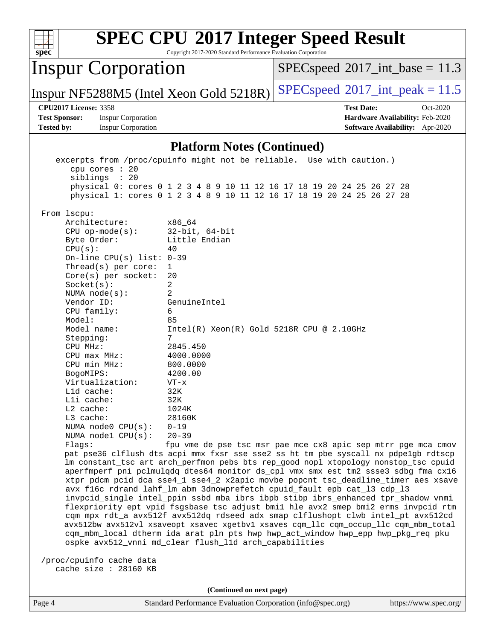|                                                                                                                                                                                                                                                                                                                                                                                                                                                                                           |                                                                                                                                                                                                                  | Copyright 2017-2020 Standard Performance Evaluation Corporation                                                 | <b>SPEC CPU®2017 Integer Speed Result</b>                                                                                                                                                                                                                                                                                                                                                                                                                                                                                                                                                                                                                                                                                                                                                                                                                                                                                                                                                  |                                                                                       |
|-------------------------------------------------------------------------------------------------------------------------------------------------------------------------------------------------------------------------------------------------------------------------------------------------------------------------------------------------------------------------------------------------------------------------------------------------------------------------------------------|------------------------------------------------------------------------------------------------------------------------------------------------------------------------------------------------------------------|-----------------------------------------------------------------------------------------------------------------|--------------------------------------------------------------------------------------------------------------------------------------------------------------------------------------------------------------------------------------------------------------------------------------------------------------------------------------------------------------------------------------------------------------------------------------------------------------------------------------------------------------------------------------------------------------------------------------------------------------------------------------------------------------------------------------------------------------------------------------------------------------------------------------------------------------------------------------------------------------------------------------------------------------------------------------------------------------------------------------------|---------------------------------------------------------------------------------------|
| $spec^*$<br><b>Inspur Corporation</b>                                                                                                                                                                                                                                                                                                                                                                                                                                                     |                                                                                                                                                                                                                  |                                                                                                                 | $SPEC speed^{\circ}2017\_int\_base = 11.3$                                                                                                                                                                                                                                                                                                                                                                                                                                                                                                                                                                                                                                                                                                                                                                                                                                                                                                                                                 |                                                                                       |
| Inspur NF5288M5 (Intel Xeon Gold 5218R)                                                                                                                                                                                                                                                                                                                                                                                                                                                   |                                                                                                                                                                                                                  |                                                                                                                 | $SPEC speed^{\circ}2017\_int\_peak = 11.5$                                                                                                                                                                                                                                                                                                                                                                                                                                                                                                                                                                                                                                                                                                                                                                                                                                                                                                                                                 |                                                                                       |
| <b>CPU2017 License: 3358</b><br><b>Test Sponsor:</b><br><b>Tested by:</b>                                                                                                                                                                                                                                                                                                                                                                                                                 | <b>Inspur Corporation</b><br><b>Inspur Corporation</b>                                                                                                                                                           |                                                                                                                 | <b>Test Date:</b>                                                                                                                                                                                                                                                                                                                                                                                                                                                                                                                                                                                                                                                                                                                                                                                                                                                                                                                                                                          | Oct-2020<br>Hardware Availability: Feb-2020<br><b>Software Availability:</b> Apr-2020 |
|                                                                                                                                                                                                                                                                                                                                                                                                                                                                                           |                                                                                                                                                                                                                  | <b>Platform Notes (Continued)</b>                                                                               |                                                                                                                                                                                                                                                                                                                                                                                                                                                                                                                                                                                                                                                                                                                                                                                                                                                                                                                                                                                            |                                                                                       |
| cpu cores : 20<br>siblings : 20                                                                                                                                                                                                                                                                                                                                                                                                                                                           |                                                                                                                                                                                                                  |                                                                                                                 | excerpts from /proc/cpuinfo might not be reliable. Use with caution.)<br>physical 0: cores 0 1 2 3 4 8 9 10 11 12 16 17 18 19 20 24 25 26 27 28<br>physical 1: cores 0 1 2 3 4 8 9 10 11 12 16 17 18 19 20 24 25 26 27 28                                                                                                                                                                                                                                                                                                                                                                                                                                                                                                                                                                                                                                                                                                                                                                  |                                                                                       |
| From lscpu:<br>Architecture:<br>$CPU$ op-mode( $s$ ):<br>Byte Order:<br>CPU(s):<br>Thread(s) per core:<br>Core(s) per socket:<br>Socket(s):<br>NUMA $node(s)$ :<br>Vendor ID:<br>CPU family:<br>Model:<br>Model name:<br>Stepping:<br>CPU MHz:<br>$CPU$ max $MHz:$<br>CPU min MHz:<br>BogoMIPS:<br>Virtualization:<br>Lld cache:<br>Lli cache:<br>$L2$ cache:<br>L3 cache:<br>NUMA node0 CPU(s):<br>NUMA $node1$ $CPU(s):$<br>Flags:<br>/proc/cpuinfo cache data<br>cache size : 28160 KB | x86_64<br>40<br>On-line CPU(s) list: $0-39$<br>$\mathbf 1$<br>20<br>2<br>2<br>6<br>85<br>7<br>2845.450<br>4000.0000<br>800.0000<br>4200.00<br>$VT - x$<br>32K<br>32K<br>1024K<br>28160K<br>$0 - 19$<br>$20 - 39$ | $32$ -bit, $64$ -bit<br>Little Endian<br>GenuineIntel<br>ospke avx512_vnni md_clear flush_l1d arch_capabilities | $Intel(R) Xeon(R) Gold 5218R CPU @ 2.10GHz$<br>fpu vme de pse tsc msr pae mce cx8 apic sep mtrr pge mca cmov<br>pat pse36 clflush dts acpi mmx fxsr sse sse2 ss ht tm pbe syscall nx pdpe1gb rdtscp<br>lm constant_tsc art arch_perfmon pebs bts rep_good nopl xtopology nonstop_tsc cpuid<br>aperfmperf pni pclmulqdq dtes64 monitor ds_cpl vmx smx est tm2 ssse3 sdbg fma cx16<br>xtpr pdcm pcid dca sse4_1 sse4_2 x2apic movbe popcnt tsc_deadline_timer aes xsave<br>avx f16c rdrand lahf_lm abm 3dnowprefetch cpuid_fault epb cat_13 cdp_13<br>invpcid_single intel_ppin ssbd mba ibrs ibpb stibp ibrs_enhanced tpr_shadow vnmi<br>flexpriority ept vpid fsgsbase tsc_adjust bmil hle avx2 smep bmi2 erms invpcid rtm<br>cqm mpx rdt_a avx512f avx512dq rdseed adx smap clflushopt clwb intel_pt avx512cd<br>avx512bw avx512vl xsaveopt xsavec xgetbvl xsaves cqm_llc cqm_occup_llc cqm_mbm_total<br>cqm_mbm_local dtherm ida arat pln pts hwp hwp_act_window hwp_epp hwp_pkg_req pku |                                                                                       |
|                                                                                                                                                                                                                                                                                                                                                                                                                                                                                           |                                                                                                                                                                                                                  | (Continued on next page)                                                                                        |                                                                                                                                                                                                                                                                                                                                                                                                                                                                                                                                                                                                                                                                                                                                                                                                                                                                                                                                                                                            |                                                                                       |
| Page 4                                                                                                                                                                                                                                                                                                                                                                                                                                                                                    |                                                                                                                                                                                                                  | Standard Performance Evaluation Corporation (info@spec.org)                                                     |                                                                                                                                                                                                                                                                                                                                                                                                                                                                                                                                                                                                                                                                                                                                                                                                                                                                                                                                                                                            | https://www.spec.org/                                                                 |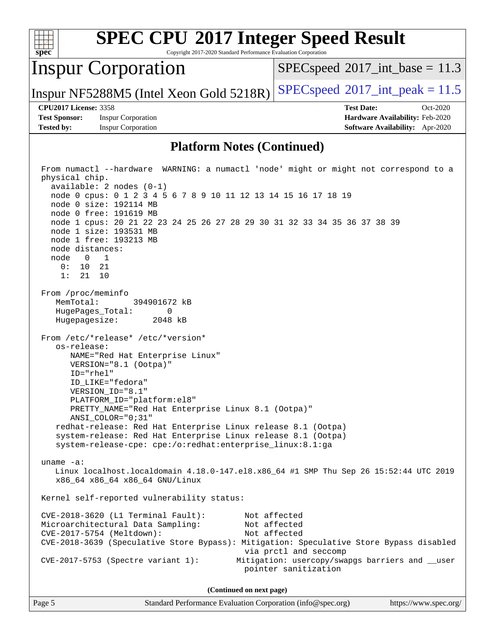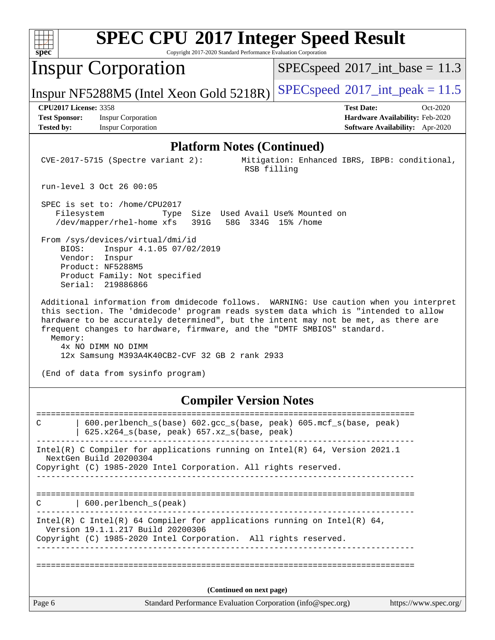| <b>SPEC CPU®2017 Integer Speed Result</b><br>Copyright 2017-2020 Standard Performance Evaluation Corporation<br>$spec^*$                                                                                                                                                                                                                                                                                                                                                |                                                                                                            |
|-------------------------------------------------------------------------------------------------------------------------------------------------------------------------------------------------------------------------------------------------------------------------------------------------------------------------------------------------------------------------------------------------------------------------------------------------------------------------|------------------------------------------------------------------------------------------------------------|
| <b>Inspur Corporation</b>                                                                                                                                                                                                                                                                                                                                                                                                                                               | $SPEC speed^{\circ}2017\_int\_base = 11.3$                                                                 |
| Inspur NF5288M5 (Intel Xeon Gold 5218R)                                                                                                                                                                                                                                                                                                                                                                                                                                 | $SPEC speed^{\circ}2017\_int\_peak = 11.5$                                                                 |
| <b>CPU2017 License: 3358</b><br><b>Test Sponsor:</b><br><b>Inspur Corporation</b><br><b>Inspur Corporation</b><br><b>Tested by:</b>                                                                                                                                                                                                                                                                                                                                     | <b>Test Date:</b><br>Oct-2020<br>Hardware Availability: Feb-2020<br><b>Software Availability:</b> Apr-2020 |
| <b>Platform Notes (Continued)</b>                                                                                                                                                                                                                                                                                                                                                                                                                                       |                                                                                                            |
| $CVE-2017-5715$ (Spectre variant 2):<br>RSB filling                                                                                                                                                                                                                                                                                                                                                                                                                     | Mitigation: Enhanced IBRS, IBPB: conditional,                                                              |
| run-level 3 Oct 26 00:05                                                                                                                                                                                                                                                                                                                                                                                                                                                |                                                                                                            |
| SPEC is set to: /home/CPU2017<br>Size Used Avail Use% Mounted on<br>Filesystem<br>Type<br>/dev/mapper/rhel-home xfs<br>391G<br>From /sys/devices/virtual/dmi/id<br>BIOS:<br>Inspur 4.1.05 07/02/2019                                                                                                                                                                                                                                                                    | 58G 334G 15% / home                                                                                        |
| Vendor:<br>Inspur<br>Product: NF5288M5<br>Product Family: Not specified<br>Serial: 219886866                                                                                                                                                                                                                                                                                                                                                                            |                                                                                                            |
| Additional information from dmidecode follows. WARNING: Use caution when you interpret<br>this section. The 'dmidecode' program reads system data which is "intended to allow<br>hardware to be accurately determined", but the intent may not be met, as there are<br>frequent changes to hardware, firmware, and the "DMTF SMBIOS" standard.<br>Memory:<br>4x NO DIMM NO DIMM<br>12x Samsung M393A4K40CB2-CVF 32 GB 2 rank 2933<br>(End of data from sysinfo program) |                                                                                                            |
| <b>Compiler Version Notes</b>                                                                                                                                                                                                                                                                                                                                                                                                                                           |                                                                                                            |
| 600.perlbench_s(base) 602.gcc_s(base, peak) 605.mcf_s(base, peak)<br>С<br>625.x264_s(base, peak) 657.xz_s(base, peak)                                                                                                                                                                                                                                                                                                                                                   |                                                                                                            |
| Intel(R) C Compiler for applications running on Intel(R) 64, Version 2021.1<br>NextGen Build 20200304<br>Copyright (C) 1985-2020 Intel Corporation. All rights reserved.                                                                                                                                                                                                                                                                                                |                                                                                                            |
| -------------------------<br>  600.perlbench_s(peak)<br>C                                                                                                                                                                                                                                                                                                                                                                                                               | =========================                                                                                  |
| Intel(R) C Intel(R) 64 Compiler for applications running on Intel(R) 64,<br>Version 19.1.1.217 Build 20200306<br>Copyright (C) 1985-2020 Intel Corporation. All rights reserved.                                                                                                                                                                                                                                                                                        |                                                                                                            |
|                                                                                                                                                                                                                                                                                                                                                                                                                                                                         |                                                                                                            |
| (Continued on next page)                                                                                                                                                                                                                                                                                                                                                                                                                                                |                                                                                                            |
| Page 6<br>Standard Performance Evaluation Corporation (info@spec.org)                                                                                                                                                                                                                                                                                                                                                                                                   | https://www.spec.org/                                                                                      |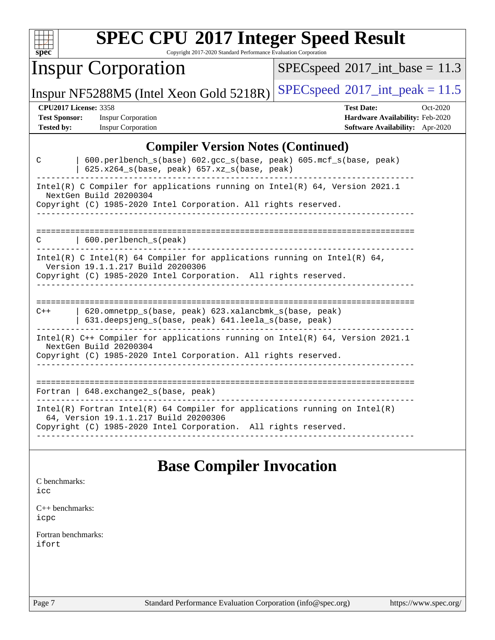| <b>SPEC CPU®2017 Integer Speed Result</b><br>spec <sup>®</sup><br>Copyright 2017-2020 Standard Performance Evaluation Corporation                                                        |                                                                                                     |  |  |  |  |
|------------------------------------------------------------------------------------------------------------------------------------------------------------------------------------------|-----------------------------------------------------------------------------------------------------|--|--|--|--|
| <b>Inspur Corporation</b>                                                                                                                                                                | $SPEC speed^{\circ}2017\_int\_base = 11.3$                                                          |  |  |  |  |
| Inspur NF5288M5 (Intel Xeon Gold 5218R)                                                                                                                                                  | $SPEC speed^{\circ}2017\_int\_peak = 11.5$                                                          |  |  |  |  |
| <b>CPU2017 License: 3358</b><br><b>Test Sponsor:</b><br><b>Inspur Corporation</b><br><b>Tested by:</b><br><b>Inspur Corporation</b>                                                      | <b>Test Date:</b><br>Oct-2020<br>Hardware Availability: Feb-2020<br>Software Availability: Apr-2020 |  |  |  |  |
| <b>Compiler Version Notes (Continued)</b>                                                                                                                                                |                                                                                                     |  |  |  |  |
| 600.perlbench_s(base) 602.gcc_s(base, peak) 605.mcf_s(base, peak)<br>C<br>$625.x264_s(base, peak)$ 657.xz <sub>_S</sub> (base, peak)                                                     |                                                                                                     |  |  |  |  |
| Intel(R) C Compiler for applications running on Intel(R) 64, Version 2021.1<br>NextGen Build 20200304<br>Copyright (C) 1985-2020 Intel Corporation. All rights reserved.                 |                                                                                                     |  |  |  |  |
| 600.perlbench s(peak)                                                                                                                                                                    |                                                                                                     |  |  |  |  |
| Intel(R) C Intel(R) 64 Compiler for applications running on Intel(R) 64,<br>Version 19.1.1.217 Build 20200306<br>Copyright (C) 1985-2020 Intel Corporation. All rights reserved.         |                                                                                                     |  |  |  |  |
| 620.omnetpp_s(base, peak) 623.xalancbmk_s(base, peak)<br>$C++$<br>631.deepsjeng_s(base, peak) 641.leela_s(base, peak)                                                                    |                                                                                                     |  |  |  |  |
| Intel(R) C++ Compiler for applications running on Intel(R) 64, Version 2021.1<br>NextGen Build 20200304<br>Copyright (C) 1985-2020 Intel Corporation. All rights reserved.               |                                                                                                     |  |  |  |  |
| Fortran   648. exchange2_s(base, peak)                                                                                                                                                   |                                                                                                     |  |  |  |  |
| Intel(R) Fortran Intel(R) 64 Compiler for applications running on $Intel(R)$<br>64, Version 19.1.1.217 Build 20200306<br>Copyright (C) 1985-2020 Intel Corporation. All rights reserved. |                                                                                                     |  |  |  |  |
| <b>Base Compiler Invocation</b>                                                                                                                                                          |                                                                                                     |  |  |  |  |
| C benchmarks:<br>icc                                                                                                                                                                     |                                                                                                     |  |  |  |  |
| $C_{++}$ benchmarks:                                                                                                                                                                     |                                                                                                     |  |  |  |  |

[icpc](http://www.spec.org/cpu2017/results/res2020q4/cpu2017-20201109-24375.flags.html#user_CXXbase_intel_icpc_c510b6838c7f56d33e37e94d029a35b4a7bccf4766a728ee175e80a419847e808290a9b78be685c44ab727ea267ec2f070ec5dc83b407c0218cded6866a35d07)

[Fortran benchmarks](http://www.spec.org/auto/cpu2017/Docs/result-fields.html#Fortranbenchmarks): [ifort](http://www.spec.org/cpu2017/results/res2020q4/cpu2017-20201109-24375.flags.html#user_FCbase_intel_ifort_8111460550e3ca792625aed983ce982f94888b8b503583aa7ba2b8303487b4d8a21a13e7191a45c5fd58ff318f48f9492884d4413fa793fd88dd292cad7027ca)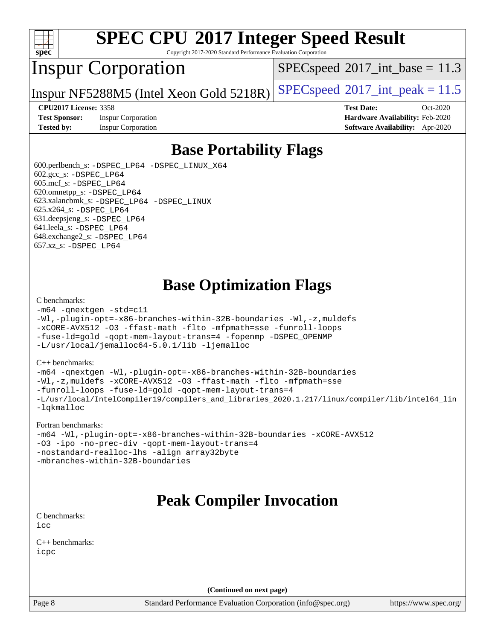

Copyright 2017-2020 Standard Performance Evaluation Corporation

## Inspur Corporation

 $SPECspeed^{\circ}2017\_int\_base = 11.3$  $SPECspeed^{\circ}2017\_int\_base = 11.3$ 

Inspur NF5288M5 (Intel Xeon Gold 5218R) [SPECspeed](http://www.spec.org/auto/cpu2017/Docs/result-fields.html#SPECspeed2017intpeak)<sup>®</sup>[2017\\_int\\_peak = 1](http://www.spec.org/auto/cpu2017/Docs/result-fields.html#SPECspeed2017intpeak)1.5

**[Test Sponsor:](http://www.spec.org/auto/cpu2017/Docs/result-fields.html#TestSponsor)** Inspur Corporation **[Hardware Availability:](http://www.spec.org/auto/cpu2017/Docs/result-fields.html#HardwareAvailability)** Feb-2020

**[CPU2017 License:](http://www.spec.org/auto/cpu2017/Docs/result-fields.html#CPU2017License)** 3358 **[Test Date:](http://www.spec.org/auto/cpu2017/Docs/result-fields.html#TestDate)** Oct-2020 **[Tested by:](http://www.spec.org/auto/cpu2017/Docs/result-fields.html#Testedby)** Inspur Corporation **[Software Availability:](http://www.spec.org/auto/cpu2017/Docs/result-fields.html#SoftwareAvailability)** Apr-2020

### **[Base Portability Flags](http://www.spec.org/auto/cpu2017/Docs/result-fields.html#BasePortabilityFlags)**

 600.perlbench\_s: [-DSPEC\\_LP64](http://www.spec.org/cpu2017/results/res2020q4/cpu2017-20201109-24375.flags.html#b600.perlbench_s_basePORTABILITY_DSPEC_LP64) [-DSPEC\\_LINUX\\_X64](http://www.spec.org/cpu2017/results/res2020q4/cpu2017-20201109-24375.flags.html#b600.perlbench_s_baseCPORTABILITY_DSPEC_LINUX_X64) 602.gcc\_s: [-DSPEC\\_LP64](http://www.spec.org/cpu2017/results/res2020q4/cpu2017-20201109-24375.flags.html#suite_basePORTABILITY602_gcc_s_DSPEC_LP64) 605.mcf\_s: [-DSPEC\\_LP64](http://www.spec.org/cpu2017/results/res2020q4/cpu2017-20201109-24375.flags.html#suite_basePORTABILITY605_mcf_s_DSPEC_LP64) 620.omnetpp\_s: [-DSPEC\\_LP64](http://www.spec.org/cpu2017/results/res2020q4/cpu2017-20201109-24375.flags.html#suite_basePORTABILITY620_omnetpp_s_DSPEC_LP64) 623.xalancbmk\_s: [-DSPEC\\_LP64](http://www.spec.org/cpu2017/results/res2020q4/cpu2017-20201109-24375.flags.html#suite_basePORTABILITY623_xalancbmk_s_DSPEC_LP64) [-DSPEC\\_LINUX](http://www.spec.org/cpu2017/results/res2020q4/cpu2017-20201109-24375.flags.html#b623.xalancbmk_s_baseCXXPORTABILITY_DSPEC_LINUX) 625.x264\_s: [-DSPEC\\_LP64](http://www.spec.org/cpu2017/results/res2020q4/cpu2017-20201109-24375.flags.html#suite_basePORTABILITY625_x264_s_DSPEC_LP64) 631.deepsjeng\_s: [-DSPEC\\_LP64](http://www.spec.org/cpu2017/results/res2020q4/cpu2017-20201109-24375.flags.html#suite_basePORTABILITY631_deepsjeng_s_DSPEC_LP64) 641.leela\_s: [-DSPEC\\_LP64](http://www.spec.org/cpu2017/results/res2020q4/cpu2017-20201109-24375.flags.html#suite_basePORTABILITY641_leela_s_DSPEC_LP64) 648.exchange2\_s: [-DSPEC\\_LP64](http://www.spec.org/cpu2017/results/res2020q4/cpu2017-20201109-24375.flags.html#suite_basePORTABILITY648_exchange2_s_DSPEC_LP64) 657.xz\_s: [-DSPEC\\_LP64](http://www.spec.org/cpu2017/results/res2020q4/cpu2017-20201109-24375.flags.html#suite_basePORTABILITY657_xz_s_DSPEC_LP64)

## **[Base Optimization Flags](http://www.spec.org/auto/cpu2017/Docs/result-fields.html#BaseOptimizationFlags)**

#### [C benchmarks](http://www.spec.org/auto/cpu2017/Docs/result-fields.html#Cbenchmarks):

```
-m64 -qnextgen -std=c11
-Wl,-plugin-opt=-x86-branches-within-32B-boundaries -Wl,-z,muldefs
-xCORE-AVX512 -O3 -ffast-math -flto -mfpmath=sse -funroll-loops
-fuse-ld=gold -qopt-mem-layout-trans=4 -fopenmp -DSPEC_OPENMP
-L/usr/local/jemalloc64-5.0.1/lib -ljemalloc
```
#### [C++ benchmarks:](http://www.spec.org/auto/cpu2017/Docs/result-fields.html#CXXbenchmarks)

[-m64](http://www.spec.org/cpu2017/results/res2020q4/cpu2017-20201109-24375.flags.html#user_CXXbase_m64-icc) [-qnextgen](http://www.spec.org/cpu2017/results/res2020q4/cpu2017-20201109-24375.flags.html#user_CXXbase_f-qnextgen) [-Wl,-plugin-opt=-x86-branches-within-32B-boundaries](http://www.spec.org/cpu2017/results/res2020q4/cpu2017-20201109-24375.flags.html#user_CXXbase_f-x86-branches-within-32B-boundaries_0098b4e4317ae60947b7b728078a624952a08ac37a3c797dfb4ffeb399e0c61a9dd0f2f44ce917e9361fb9076ccb15e7824594512dd315205382d84209e912f3) [-Wl,-z,muldefs](http://www.spec.org/cpu2017/results/res2020q4/cpu2017-20201109-24375.flags.html#user_CXXbase_link_force_multiple1_b4cbdb97b34bdee9ceefcfe54f4c8ea74255f0b02a4b23e853cdb0e18eb4525ac79b5a88067c842dd0ee6996c24547a27a4b99331201badda8798ef8a743f577) [-xCORE-AVX512](http://www.spec.org/cpu2017/results/res2020q4/cpu2017-20201109-24375.flags.html#user_CXXbase_f-xCORE-AVX512) [-O3](http://www.spec.org/cpu2017/results/res2020q4/cpu2017-20201109-24375.flags.html#user_CXXbase_f-O3) [-ffast-math](http://www.spec.org/cpu2017/results/res2020q4/cpu2017-20201109-24375.flags.html#user_CXXbase_f-ffast-math) [-flto](http://www.spec.org/cpu2017/results/res2020q4/cpu2017-20201109-24375.flags.html#user_CXXbase_f-flto) [-mfpmath=sse](http://www.spec.org/cpu2017/results/res2020q4/cpu2017-20201109-24375.flags.html#user_CXXbase_f-mfpmath_70eb8fac26bde974f8ab713bc9086c5621c0b8d2f6c86f38af0bd7062540daf19db5f3a066d8c6684be05d84c9b6322eb3b5be6619d967835195b93d6c02afa1) [-funroll-loops](http://www.spec.org/cpu2017/results/res2020q4/cpu2017-20201109-24375.flags.html#user_CXXbase_f-funroll-loops) [-fuse-ld=gold](http://www.spec.org/cpu2017/results/res2020q4/cpu2017-20201109-24375.flags.html#user_CXXbase_f-fuse-ld_920b3586e2b8c6e0748b9c84fa9b744736ba725a32cab14ad8f3d4ad28eecb2f59d1144823d2e17006539a88734fe1fc08fc3035f7676166309105a78aaabc32) [-qopt-mem-layout-trans=4](http://www.spec.org/cpu2017/results/res2020q4/cpu2017-20201109-24375.flags.html#user_CXXbase_f-qopt-mem-layout-trans_fa39e755916c150a61361b7846f310bcdf6f04e385ef281cadf3647acec3f0ae266d1a1d22d972a7087a248fd4e6ca390a3634700869573d231a252c784941a8) [-L/usr/local/IntelCompiler19/compilers\\_and\\_libraries\\_2020.1.217/linux/compiler/lib/intel64\\_lin](http://www.spec.org/cpu2017/results/res2020q4/cpu2017-20201109-24375.flags.html#user_CXXbase_linkpath_2cb6f503891ebf8baee7515f4e7d4ec1217444d1d05903cc0091ac4158de400651d2b2313a9fa414cb8a8f0e16ab029634f5c6db340f400369c190d4db8a54a0) [-lqkmalloc](http://www.spec.org/cpu2017/results/res2020q4/cpu2017-20201109-24375.flags.html#user_CXXbase_qkmalloc_link_lib_79a818439969f771c6bc311cfd333c00fc099dad35c030f5aab9dda831713d2015205805422f83de8875488a2991c0a156aaa600e1f9138f8fc37004abc96dc5)

#### [Fortran benchmarks:](http://www.spec.org/auto/cpu2017/Docs/result-fields.html#Fortranbenchmarks)

```
-m64 -Wl,-plugin-opt=-x86-branches-within-32B-boundaries -xCORE-AVX512
-O3 -ipo -no-prec-div -qopt-mem-layout-trans=4
-nostandard-realloc-lhs -align array32byte
-mbranches-within-32B-boundaries
```
## **[Peak Compiler Invocation](http://www.spec.org/auto/cpu2017/Docs/result-fields.html#PeakCompilerInvocation)**

[C benchmarks](http://www.spec.org/auto/cpu2017/Docs/result-fields.html#Cbenchmarks): [icc](http://www.spec.org/cpu2017/results/res2020q4/cpu2017-20201109-24375.flags.html#user_CCpeak_intel_icc_66fc1ee009f7361af1fbd72ca7dcefbb700085f36577c54f309893dd4ec40d12360134090235512931783d35fd58c0460139e722d5067c5574d8eaf2b3e37e92)

[C++ benchmarks:](http://www.spec.org/auto/cpu2017/Docs/result-fields.html#CXXbenchmarks) [icpc](http://www.spec.org/cpu2017/results/res2020q4/cpu2017-20201109-24375.flags.html#user_CXXpeak_intel_icpc_c510b6838c7f56d33e37e94d029a35b4a7bccf4766a728ee175e80a419847e808290a9b78be685c44ab727ea267ec2f070ec5dc83b407c0218cded6866a35d07)

**(Continued on next page)**

Page 8 Standard Performance Evaluation Corporation [\(info@spec.org\)](mailto:info@spec.org) <https://www.spec.org/>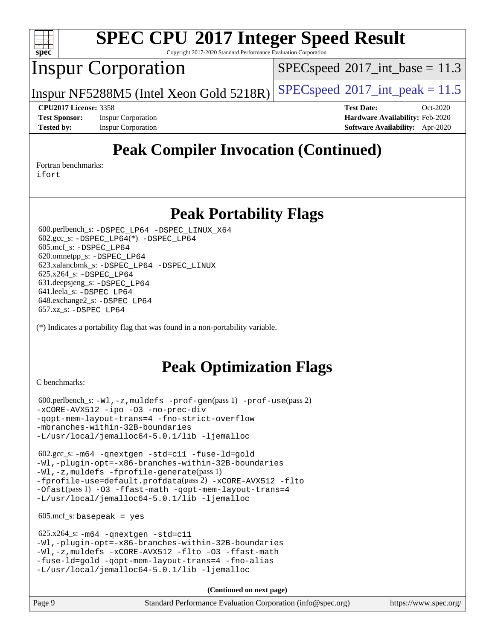

Copyright 2017-2020 Standard Performance Evaluation Corporation

## Inspur Corporation

 $SPECspeed^{\circ}2017\_int\_base = 11.3$  $SPECspeed^{\circ}2017\_int\_base = 11.3$ 

Inspur NF5288M5 (Intel Xeon Gold 5218R) [SPECspeed](http://www.spec.org/auto/cpu2017/Docs/result-fields.html#SPECspeed2017intpeak)<sup>®</sup>[2017\\_int\\_peak = 1](http://www.spec.org/auto/cpu2017/Docs/result-fields.html#SPECspeed2017intpeak)1.5

**[Tested by:](http://www.spec.org/auto/cpu2017/Docs/result-fields.html#Testedby)** Inspur Corporation **[Software Availability:](http://www.spec.org/auto/cpu2017/Docs/result-fields.html#SoftwareAvailability)** Apr-2020

**[CPU2017 License:](http://www.spec.org/auto/cpu2017/Docs/result-fields.html#CPU2017License)** 3358 **[Test Date:](http://www.spec.org/auto/cpu2017/Docs/result-fields.html#TestDate)** Oct-2020 **[Test Sponsor:](http://www.spec.org/auto/cpu2017/Docs/result-fields.html#TestSponsor)** Inspur Corporation **[Hardware Availability:](http://www.spec.org/auto/cpu2017/Docs/result-fields.html#HardwareAvailability)** Feb-2020

# **[Peak Compiler Invocation \(Continued\)](http://www.spec.org/auto/cpu2017/Docs/result-fields.html#PeakCompilerInvocation)**

[Fortran benchmarks](http://www.spec.org/auto/cpu2017/Docs/result-fields.html#Fortranbenchmarks):

[ifort](http://www.spec.org/cpu2017/results/res2020q4/cpu2017-20201109-24375.flags.html#user_FCpeak_intel_ifort_8111460550e3ca792625aed983ce982f94888b8b503583aa7ba2b8303487b4d8a21a13e7191a45c5fd58ff318f48f9492884d4413fa793fd88dd292cad7027ca)

### **[Peak Portability Flags](http://www.spec.org/auto/cpu2017/Docs/result-fields.html#PeakPortabilityFlags)**

 600.perlbench\_s: [-DSPEC\\_LP64](http://www.spec.org/cpu2017/results/res2020q4/cpu2017-20201109-24375.flags.html#b600.perlbench_s_peakPORTABILITY_DSPEC_LP64) [-DSPEC\\_LINUX\\_X64](http://www.spec.org/cpu2017/results/res2020q4/cpu2017-20201109-24375.flags.html#b600.perlbench_s_peakCPORTABILITY_DSPEC_LINUX_X64) 602.gcc\_s: [-DSPEC\\_LP64](http://www.spec.org/cpu2017/results/res2020q4/cpu2017-20201109-24375.flags.html#suite_peakCCLD602_gcc_s_DSPEC_LP64)(\*) [-DSPEC\\_LP64](http://www.spec.org/cpu2017/results/res2020q4/cpu2017-20201109-24375.flags.html#suite_peakPORTABILITY602_gcc_s_DSPEC_LP64) 605.mcf\_s: [-DSPEC\\_LP64](http://www.spec.org/cpu2017/results/res2020q4/cpu2017-20201109-24375.flags.html#suite_peakPORTABILITY605_mcf_s_DSPEC_LP64) 620.omnetpp\_s: [-DSPEC\\_LP64](http://www.spec.org/cpu2017/results/res2020q4/cpu2017-20201109-24375.flags.html#suite_peakPORTABILITY620_omnetpp_s_DSPEC_LP64) 623.xalancbmk\_s: [-DSPEC\\_LP64](http://www.spec.org/cpu2017/results/res2020q4/cpu2017-20201109-24375.flags.html#suite_peakPORTABILITY623_xalancbmk_s_DSPEC_LP64) [-DSPEC\\_LINUX](http://www.spec.org/cpu2017/results/res2020q4/cpu2017-20201109-24375.flags.html#b623.xalancbmk_s_peakCXXPORTABILITY_DSPEC_LINUX) 625.x264\_s: [-DSPEC\\_LP64](http://www.spec.org/cpu2017/results/res2020q4/cpu2017-20201109-24375.flags.html#suite_peakPORTABILITY625_x264_s_DSPEC_LP64) 631.deepsjeng\_s: [-DSPEC\\_LP64](http://www.spec.org/cpu2017/results/res2020q4/cpu2017-20201109-24375.flags.html#suite_peakPORTABILITY631_deepsjeng_s_DSPEC_LP64) 641.leela\_s: [-DSPEC\\_LP64](http://www.spec.org/cpu2017/results/res2020q4/cpu2017-20201109-24375.flags.html#suite_peakPORTABILITY641_leela_s_DSPEC_LP64) 648.exchange2\_s: [-DSPEC\\_LP64](http://www.spec.org/cpu2017/results/res2020q4/cpu2017-20201109-24375.flags.html#suite_peakPORTABILITY648_exchange2_s_DSPEC_LP64) 657.xz\_s: [-DSPEC\\_LP64](http://www.spec.org/cpu2017/results/res2020q4/cpu2017-20201109-24375.flags.html#suite_peakPORTABILITY657_xz_s_DSPEC_LP64)

(\*) Indicates a portability flag that was found in a non-portability variable.

# **[Peak Optimization Flags](http://www.spec.org/auto/cpu2017/Docs/result-fields.html#PeakOptimizationFlags)**

[C benchmarks](http://www.spec.org/auto/cpu2017/Docs/result-fields.html#Cbenchmarks):

```
 600.perlbench_s: -Wl,-z,muldefs -prof-gen(pass 1) -prof-use(pass 2)
-xCORE-AVX512 -ipo -O3 -no-prec-div
-qopt-mem-layout-trans=4 -fno-strict-overflow
-mbranches-within-32B-boundaries
-L/usr/local/jemalloc64-5.0.1/lib -ljemalloc
```
 602.gcc\_s: [-m64](http://www.spec.org/cpu2017/results/res2020q4/cpu2017-20201109-24375.flags.html#user_peakCCLD602_gcc_s_m64-icc) [-qnextgen](http://www.spec.org/cpu2017/results/res2020q4/cpu2017-20201109-24375.flags.html#user_peakCCLD602_gcc_s_f-qnextgen) [-std=c11](http://www.spec.org/cpu2017/results/res2020q4/cpu2017-20201109-24375.flags.html#user_peakCCLD602_gcc_s_std-icc-std_0e1c27790398a4642dfca32ffe6c27b5796f9c2d2676156f2e42c9c44eaad0c049b1cdb667a270c34d979996257aeb8fc440bfb01818dbc9357bd9d174cb8524) [-fuse-ld=gold](http://www.spec.org/cpu2017/results/res2020q4/cpu2017-20201109-24375.flags.html#user_peakCCLD602_gcc_s_f-fuse-ld_920b3586e2b8c6e0748b9c84fa9b744736ba725a32cab14ad8f3d4ad28eecb2f59d1144823d2e17006539a88734fe1fc08fc3035f7676166309105a78aaabc32) [-Wl,-plugin-opt=-x86-branches-within-32B-boundaries](http://www.spec.org/cpu2017/results/res2020q4/cpu2017-20201109-24375.flags.html#user_peakLDFLAGS602_gcc_s_f-x86-branches-within-32B-boundaries_0098b4e4317ae60947b7b728078a624952a08ac37a3c797dfb4ffeb399e0c61a9dd0f2f44ce917e9361fb9076ccb15e7824594512dd315205382d84209e912f3) [-Wl,-z,muldefs](http://www.spec.org/cpu2017/results/res2020q4/cpu2017-20201109-24375.flags.html#user_peakEXTRA_LDFLAGS602_gcc_s_link_force_multiple1_b4cbdb97b34bdee9ceefcfe54f4c8ea74255f0b02a4b23e853cdb0e18eb4525ac79b5a88067c842dd0ee6996c24547a27a4b99331201badda8798ef8a743f577) [-fprofile-generate](http://www.spec.org/cpu2017/results/res2020q4/cpu2017-20201109-24375.flags.html#user_peakPASS1_CFLAGSPASS1_LDFLAGS602_gcc_s_fprofile-generate)(pass 1) [-fprofile-use=default.profdata](http://www.spec.org/cpu2017/results/res2020q4/cpu2017-20201109-24375.flags.html#user_peakPASS2_CFLAGSPASS2_LDFLAGS602_gcc_s_fprofile-use_56aeee182b92ec249f9670f17c9b8e7d83fe2d25538e35a2cf64c434b579a2235a8b8fc66ef5678d24461366bbab9d486c870d8a72905233fc08e43eefe3cd80)(pass 2) [-xCORE-AVX512](http://www.spec.org/cpu2017/results/res2020q4/cpu2017-20201109-24375.flags.html#user_peakCOPTIMIZEPASS1_CFLAGSPASS1_LDFLAGS602_gcc_s_f-xCORE-AVX512) [-flto](http://www.spec.org/cpu2017/results/res2020q4/cpu2017-20201109-24375.flags.html#user_peakCOPTIMIZEPASS1_CFLAGSPASS1_LDFLAGS602_gcc_s_f-flto) [-Ofast](http://www.spec.org/cpu2017/results/res2020q4/cpu2017-20201109-24375.flags.html#user_peakPASS1_CFLAGSPASS1_LDFLAGS602_gcc_s_f-Ofast)(pass 1) [-O3](http://www.spec.org/cpu2017/results/res2020q4/cpu2017-20201109-24375.flags.html#user_peakCOPTIMIZE602_gcc_s_f-O3) [-ffast-math](http://www.spec.org/cpu2017/results/res2020q4/cpu2017-20201109-24375.flags.html#user_peakCOPTIMIZE602_gcc_s_f-ffast-math) [-qopt-mem-layout-trans=4](http://www.spec.org/cpu2017/results/res2020q4/cpu2017-20201109-24375.flags.html#user_peakCOPTIMIZE602_gcc_s_f-qopt-mem-layout-trans_fa39e755916c150a61361b7846f310bcdf6f04e385ef281cadf3647acec3f0ae266d1a1d22d972a7087a248fd4e6ca390a3634700869573d231a252c784941a8) [-L/usr/local/jemalloc64-5.0.1/lib](http://www.spec.org/cpu2017/results/res2020q4/cpu2017-20201109-24375.flags.html#user_peakEXTRA_LIBS602_gcc_s_jemalloc_link_path64_1_cc289568b1a6c0fd3b62c91b824c27fcb5af5e8098e6ad028160d21144ef1b8aef3170d2acf0bee98a8da324cfe4f67d0a3d0c4cc4673d993d694dc2a0df248b) [-ljemalloc](http://www.spec.org/cpu2017/results/res2020q4/cpu2017-20201109-24375.flags.html#user_peakEXTRA_LIBS602_gcc_s_jemalloc_link_lib_d1249b907c500fa1c0672f44f562e3d0f79738ae9e3c4a9c376d49f265a04b9c99b167ecedbf6711b3085be911c67ff61f150a17b3472be731631ba4d0471706)

 $605.\text{mcf}\text{ s}:$  basepeak = yes

```
 625.x264_s: -m64 -qnextgen -std=c11
-Wl,-plugin-opt=-x86-branches-within-32B-boundaries
-Wl,-z,muldefs -xCORE-AVX512 -flto -O3 -ffast-math
-fuse-ld=gold -qopt-mem-layout-trans=4 -fno-alias
-L/usr/local/jemalloc64-5.0.1/lib -ljemalloc
```
**(Continued on next page)**